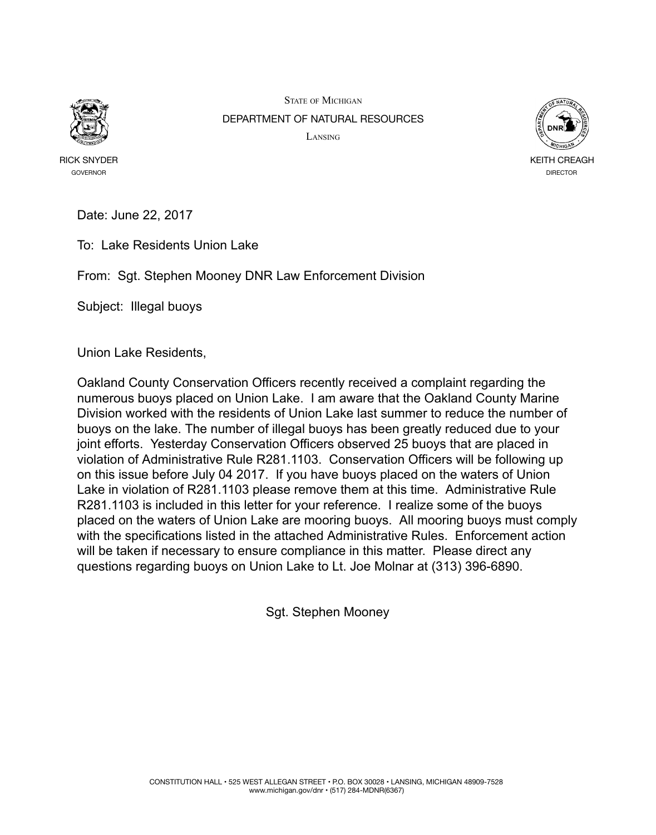

RICK SNYDER GOVERNOR

STATE OF MICHIGAN DEPARTMENT OF NATURAL RESOURCES LANSING



Date: June 22, 2017

To: Lake Residents Union Lake

From: Sgt. Stephen Mooney DNR Law Enforcement Division

Subject: Illegal buoys

Union Lake Residents,

Oakland County Conservation Officers recently received a complaint regarding the numerous buoys placed on Union Lake. I am aware that the Oakland County Marine Division worked with the residents of Union Lake last summer to reduce the number of buoys on the lake. The number of illegal buoys has been greatly reduced due to your joint efforts. Yesterday Conservation Officers observed 25 buoys that are placed in violation of Administrative Rule R281.1103. Conservation Officers will be following up on this issue before July 04 2017. If you have buoys placed on the waters of Union Lake in violation of R281.1103 please remove them at this time. Administrative Rule R281.1103 is included in this letter for your reference. I realize some of the buoys placed on the waters of Union Lake are mooring buoys. All mooring buoys must comply with the specifications listed in the attached Administrative Rules. Enforcement action will be taken if necessary to ensure compliance in this matter. Please direct any questions regarding buoys on Union Lake to Lt. Joe Molnar at (313) 396-6890.

Sgt. Stephen Mooney